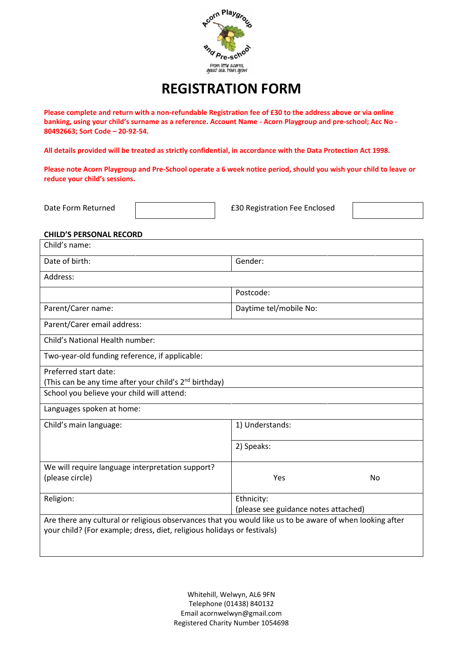

# **REGISTRATION FORM**

**Please complete and return with a non-refundable Registration fee of £30 to the address above or via online banking, using your child's surname as a reference. Account Name - Acorn Playgroup and pre-school; Acc No - 80492663; Sort Code – 20-92-54.**

**All details provided will be treated as strictly confidential, in accordance with the Data Protection Act 1998.** 

**Please note Acorn Playgroup and Pre-School operate a 6 week notice period, should you wish your child to leave or reduce your child's sessions.**

Date Form Returned | **E30 Registration Fee Enclosed** 



#### **CHILD'S PERSONAL RECORD**

| Child's name:                                                                                            |                                      |           |
|----------------------------------------------------------------------------------------------------------|--------------------------------------|-----------|
| Date of birth:                                                                                           | Gender:                              |           |
| Address:                                                                                                 |                                      |           |
|                                                                                                          | Postcode:                            |           |
| Parent/Carer name:                                                                                       | Daytime tel/mobile No:               |           |
| Parent/Carer email address:                                                                              |                                      |           |
| Child's National Health number:                                                                          |                                      |           |
| Two-year-old funding reference, if applicable:                                                           |                                      |           |
| Preferred start date:                                                                                    |                                      |           |
| (This can be any time after your child's 2 <sup>nd</sup> birthday)                                       |                                      |           |
| School you believe your child will attend:                                                               |                                      |           |
| Languages spoken at home:                                                                                |                                      |           |
| Child's main language:                                                                                   | 1) Understands:                      |           |
|                                                                                                          | 2) Speaks:                           |           |
| We will require language interpretation support?                                                         |                                      |           |
| (please circle)                                                                                          | Yes                                  | <b>No</b> |
| Religion:                                                                                                | Ethnicity:                           |           |
|                                                                                                          | (please see guidance notes attached) |           |
| Are there any cultural or religious observances that you would like us to be aware of when looking after |                                      |           |
| your child? (For example; dress, diet, religious holidays or festivals)                                  |                                      |           |
|                                                                                                          |                                      |           |
|                                                                                                          |                                      |           |

Whitehill, Welwyn, AL6 9FN Telephone (01438) 840132 Email [acornwelwyn@gmail.com](mailto:acornwelwyn@gmail.com) Registered Charity Number 1054698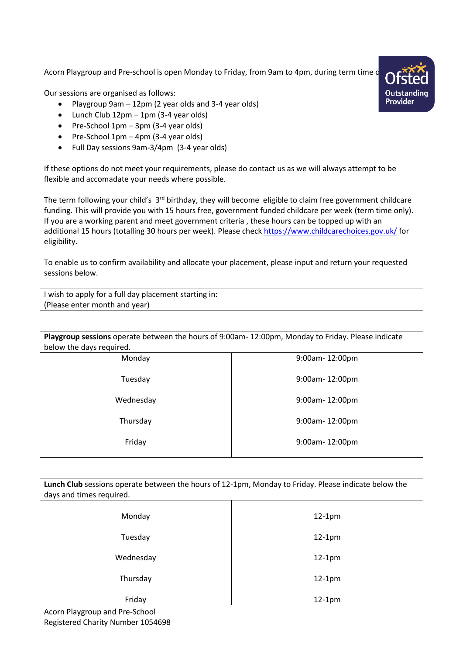Acorn Playgroup and Pre-school is open Monday to Friday, from 9am to 4pm, during term time o

Our sessions are organised as follows:

- Playgroup 9am 12pm (2 year olds and 3-4 year olds)
- Lunch Club 12pm 1pm (3-4 year olds)
- Pre-School 1pm 3pm (3-4 year olds)
- Pre-School 1pm 4pm (3-4 year olds)
- Full Day sessions 9am-3/4pm (3-4 year olds)

If these options do not meet your requirements, please do contact us as we will always attempt to be flexible and accomadate your needs where possible.

The term following your child's 3<sup>rd</sup> birthday, they will become eligible to claim free government childcare funding. This will provide you with 15 hours free, government funded childcare per week (term time only). If you are a working parent and meet government criteria , these hours can be topped up with an additional 15 hours (totalling 30 hours per week). Please check<https://www.childcarechoices.gov.uk/> for eligibility.

To enable us to confirm availability and allocate your placement, please input and return your requested sessions below.

| I wish to apply for a full day placement starting in: |  |
|-------------------------------------------------------|--|
| (Please enter month and year)                         |  |

| Playgroup sessions operate between the hours of 9:00am-12:00pm, Monday to Friday. Please indicate |                       |  |
|---------------------------------------------------------------------------------------------------|-----------------------|--|
| below the days required.                                                                          |                       |  |
| Monday                                                                                            | 9:00am-12:00pm        |  |
| Tuesday                                                                                           | $9:00$ am- $12:00$ pm |  |
| Wednesday                                                                                         | 9:00am-12:00pm        |  |
| Thursday                                                                                          | $9:00$ am- $12:00$ pm |  |
| Friday                                                                                            | $9:00$ am- $12:00$ pm |  |

| Lunch Club sessions operate between the hours of 12-1pm, Monday to Friday. Please indicate below the<br>days and times required. |          |  |
|----------------------------------------------------------------------------------------------------------------------------------|----------|--|
| Monday                                                                                                                           | $12-1pm$ |  |
| Tuesday                                                                                                                          | $12-1pm$ |  |
| Wednesday                                                                                                                        | $12-1pm$ |  |
| Thursday                                                                                                                         | $12-1pm$ |  |
| Friday                                                                                                                           | $12-1pm$ |  |

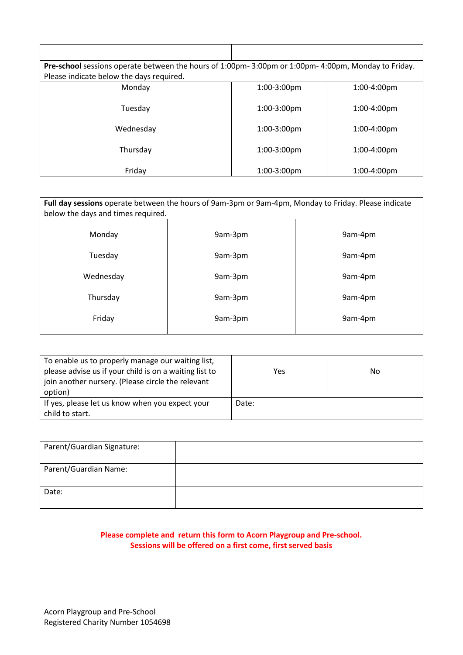| Pre-school sessions operate between the hours of 1:00pm-3:00pm or 1:00pm-4:00pm, Monday to Friday. |                |                |
|----------------------------------------------------------------------------------------------------|----------------|----------------|
| Please indicate below the days required.                                                           |                |                |
| Monday                                                                                             | $1:00-3:00$ pm | $1:00-4:00$ pm |
| Tuesday                                                                                            | $1:00-3:00$ pm | $1:00-4:00$ pm |
| Wednesday                                                                                          | $1:00-3:00$ pm | $1:00-4:00$ pm |
| Thursday                                                                                           | $1:00-3:00$ pm | $1:00-4:00$ pm |
| Friday                                                                                             | $1:00-3:00$ pm | $1:00-4:00$ pm |

| Full day sessions operate between the hours of 9am-3pm or 9am-4pm, Monday to Friday. Please indicate<br>below the days and times required. |         |         |
|--------------------------------------------------------------------------------------------------------------------------------------------|---------|---------|
| Monday                                                                                                                                     | 9am-3pm | 9am-4pm |
| Tuesday                                                                                                                                    | 9am-3pm | 9am-4pm |
| Wednesday                                                                                                                                  | 9am-3pm | 9am-4pm |
| Thursday                                                                                                                                   | 9am-3pm | 9am-4pm |
| Friday                                                                                                                                     | 9am-3pm | 9am-4pm |
|                                                                                                                                            |         |         |

| To enable us to properly manage our waiting list,<br>please advise us if your child is on a waiting list to<br>join another nursery. (Please circle the relevant<br>option) | Yes   | No. |
|-----------------------------------------------------------------------------------------------------------------------------------------------------------------------------|-------|-----|
| If yes, please let us know when you expect your<br>child to start.                                                                                                          | Date: |     |

| Parent/Guardian Signature: |  |
|----------------------------|--|
| Parent/Guardian Name:      |  |
| Date:                      |  |

### **Please complete and return this form to Acorn Playgroup and Pre-school. Sessions will be offered on a first come, first served basis**